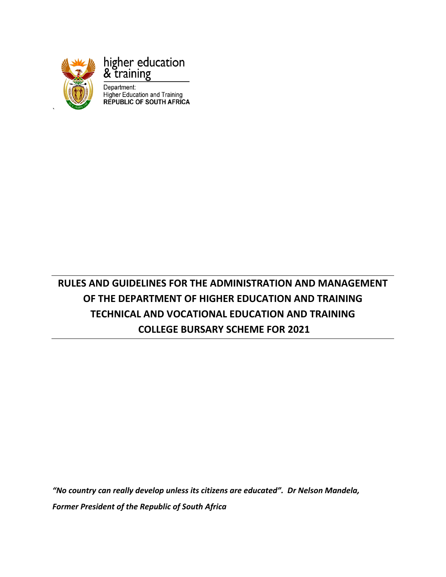

`

higher education & training

Department: **Higher Education and Training<br>REPUBLIC OF SOUTH AFRICA** 

# **RULES AND GUIDELINES FOR THE ADMINISTRATION AND MANAGEMENT OF THE DEPARTMENT OF HIGHER EDUCATION AND TRAINING TECHNICAL AND VOCATIONAL EDUCATION AND TRAINING COLLEGE BURSARY SCHEME FOR 2021**

*"No country can really develop unless its citizens are educated". Dr Nelson Mandela, Former President of the Republic of South Africa*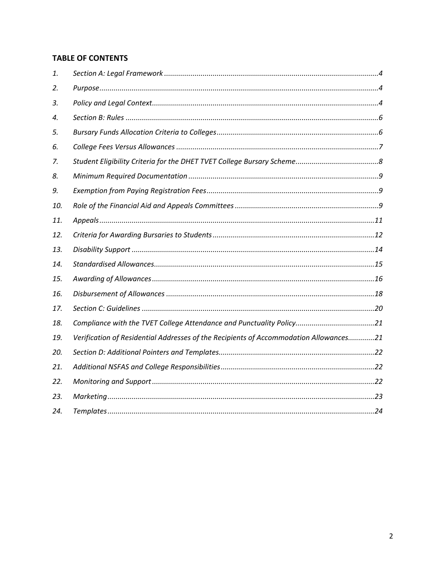## **TABLE OF CONTENTS**

| 1.  |                                                                                       |
|-----|---------------------------------------------------------------------------------------|
| 2.  |                                                                                       |
| 3.  |                                                                                       |
| 4.  |                                                                                       |
| 5.  |                                                                                       |
| 6.  |                                                                                       |
| 7.  |                                                                                       |
| 8.  |                                                                                       |
| 9.  |                                                                                       |
| 10. |                                                                                       |
| 11. |                                                                                       |
| 12. |                                                                                       |
| 13. |                                                                                       |
| 14. |                                                                                       |
| 15. |                                                                                       |
| 16. |                                                                                       |
| 17. |                                                                                       |
| 18. | Compliance with the TVET College Attendance and Punctuality Policy21                  |
| 19. | Verification of Residential Addresses of the Recipients of Accommodation Allowances21 |
| 20. |                                                                                       |
| 21. |                                                                                       |
| 22. |                                                                                       |
| 23. |                                                                                       |
| 24. |                                                                                       |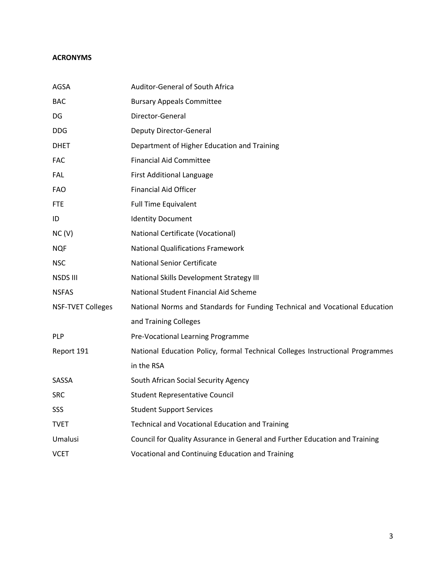## **ACRONYMS**

| AGSA                     | Auditor-General of South Africa                                               |
|--------------------------|-------------------------------------------------------------------------------|
| <b>BAC</b>               | <b>Bursary Appeals Committee</b>                                              |
| DG.                      | Director-General                                                              |
| DDG.                     | <b>Deputy Director-General</b>                                                |
| <b>DHET</b>              | Department of Higher Education and Training                                   |
| <b>FAC</b>               | <b>Financial Aid Committee</b>                                                |
| <b>FAL</b>               | <b>First Additional Language</b>                                              |
| <b>FAO</b>               | <b>Financial Aid Officer</b>                                                  |
| <b>FTE</b>               | <b>Full Time Equivalent</b>                                                   |
| ID                       | <b>Identity Document</b>                                                      |
| NC(V)                    | <b>National Certificate (Vocational)</b>                                      |
| <b>NQF</b>               | <b>National Qualifications Framework</b>                                      |
| <b>NSC</b>               | National Senior Certificate                                                   |
| NSDS III                 | National Skills Development Strategy III                                      |
| <b>NSFAS</b>             | National Student Financial Aid Scheme                                         |
| <b>NSF-TVET Colleges</b> | National Norms and Standards for Funding Technical and Vocational Education   |
|                          | and Training Colleges                                                         |
| <b>PLP</b>               | Pre-Vocational Learning Programme                                             |
| Report 191               | National Education Policy, formal Technical Colleges Instructional Programmes |
|                          | in the RSA                                                                    |
| SASSA                    | South African Social Security Agency                                          |
| <b>SRC</b>               | <b>Student Representative Council</b>                                         |
| SSS                      | <b>Student Support Services</b>                                               |
| <b>TVET</b>              | <b>Technical and Vocational Education and Training</b>                        |
| Umalusi                  | Council for Quality Assurance in General and Further Education and Training   |
| <b>VCET</b>              | Vocational and Continuing Education and Training                              |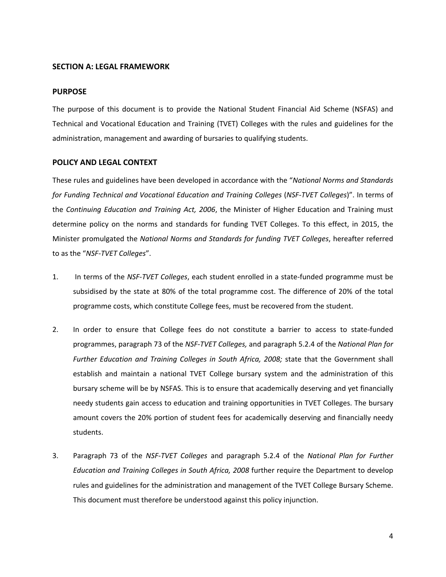#### <span id="page-3-0"></span>**SECTION A: LEGAL FRAMEWORK**

#### <span id="page-3-1"></span>**PURPOSE**

The purpose of this document is to provide the National Student Financial Aid Scheme (NSFAS) and Technical and Vocational Education and Training (TVET) Colleges with the rules and guidelines for the administration, management and awarding of bursaries to qualifying students.

#### <span id="page-3-2"></span>**POLICY AND LEGAL CONTEXT**

These rules and guidelines have been developed in accordance with the "*National Norms and Standards for Funding Technical and Vocational Education and Training Colleges* (*NSF-TVET Colleges*)". In terms of the *Continuing Education and Training Act, 2006*, the Minister of Higher Education and Training must determine policy on the norms and standards for funding TVET Colleges. To this effect, in 2015, the Minister promulgated the *National Norms and Standards for funding TVET Colleges*, hereafter referred to as the "*NSF-TVET Colleges*".

- 1. In terms of the *NSF-TVET Colleges*, each student enrolled in a state-funded programme must be subsidised by the state at 80% of the total programme cost. The difference of 20% of the total programme costs, which constitute College fees, must be recovered from the student.
- 2. In order to ensure that College fees do not constitute a barrier to access to state-funded programmes, paragraph 73 of the *NSF-TVET Colleges,* and paragraph 5.2.4 of the *National Plan for Further Education and Training Colleges in South Africa, 2008;* state that the Government shall establish and maintain a national TVET College bursary system and the administration of this bursary scheme will be by NSFAS. This is to ensure that academically deserving and yet financially needy students gain access to education and training opportunities in TVET Colleges. The bursary amount covers the 20% portion of student fees for academically deserving and financially needy students.
- 3. Paragraph 73 of the *NSF-TVET Colleges* and paragraph 5.2.4 of the *National Plan for Further Education and Training Colleges in South Africa, 2008* further require the Department to develop rules and guidelines for the administration and management of the TVET College Bursary Scheme. This document must therefore be understood against this policy injunction.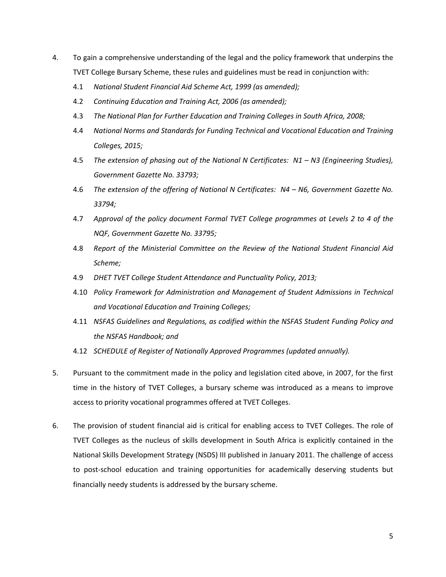- 4. To gain a comprehensive understanding of the legal and the policy framework that underpins the TVET College Bursary Scheme, these rules and guidelines must be read in conjunction with:
	- 4.1 *National Student Financial Aid Scheme Act, 1999 (as amended);*
	- 4.2 *Continuing Education and Training Act, 2006 (as amended);*
	- 4.3 *The National Plan for Further Education and Training Colleges in South Africa, 2008;*
	- 4.4 *National Norms and Standards for Funding Technical and Vocational Education and Training Colleges, 2015;*
	- 4.5 *The extension of phasing out of the National N Certificates: N1 N3 (Engineering Studies), Government Gazette No. 33793;*
	- 4.6 *The extension of the offering of National N Certificates: N4 N6, Government Gazette No. 33794;*
	- 4.7 *Approval of the policy document Formal TVET College programmes at Levels 2 to 4 of the NQF, Government Gazette No. 33795;*
	- 4.8 *Report of the Ministerial Committee on the Review of the National Student Financial Aid Scheme;*
	- 4.9 *DHET TVET College Student Attendance and Punctuality Policy, 2013;*
	- 4.10 *Policy Framework for Administration and Management of Student Admissions in Technical and Vocational Education and Training Colleges;*
	- 4.11 *NSFAS Guidelines and Regulations, as codified within the NSFAS Student Funding Policy and the NSFAS Handbook; and*
	- 4.12 *SCHEDULE of Register of Nationally Approved Programmes (updated annually).*
- 5. Pursuant to the commitment made in the policy and legislation cited above, in 2007, for the first time in the history of TVET Colleges, a bursary scheme was introduced as a means to improve access to priority vocational programmes offered at TVET Colleges.
- 6. The provision of student financial aid is critical for enabling access to TVET Colleges. The role of TVET Colleges as the nucleus of skills development in South Africa is explicitly contained in the National Skills Development Strategy (NSDS) III published in January 2011. The challenge of access to post-school education and training opportunities for academically deserving students but financially needy students is addressed by the bursary scheme.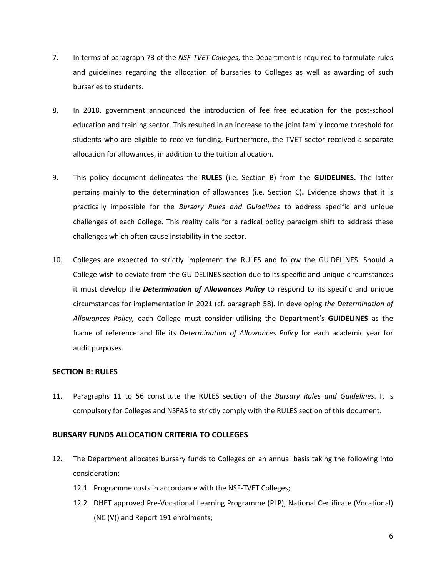- 7. In terms of paragraph 73 of the *NSF-TVET Colleges*, the Department is required to formulate rules and guidelines regarding the allocation of bursaries to Colleges as well as awarding of such bursaries to students.
- 8. In 2018, government announced the introduction of fee free education for the post-school education and training sector. This resulted in an increase to the joint family income threshold for students who are eligible to receive funding. Furthermore, the TVET sector received a separate allocation for allowances, in addition to the tuition allocation.
- 9. This policy document delineates the **RULES** (i.e. Section B) from the **GUIDELINES.** The latter pertains mainly to the determination of allowances (i.e. Section C)**.** Evidence shows that it is practically impossible for the *Bursary Rules and Guidelines* to address specific and unique challenges of each College. This reality calls for a radical policy paradigm shift to address these challenges which often cause instability in the sector.
- 10. Colleges are expected to strictly implement the RULES and follow the GUIDELINES. Should a College wish to deviate from the GUIDELINES section due to its specific and unique circumstances it must develop the *Determination of Allowances Policy* to respond to its specific and unique circumstances for implementation in 2021 (cf. paragraph 58). In developing *the Determination of Allowances Policy,* each College must consider utilising the Department's **GUIDELINES** as the frame of reference and file its *Determination of Allowances Policy* for each academic year for audit purposes.

## <span id="page-5-0"></span>**SECTION B: RULES**

11. Paragraphs 11 to 56 constitute the RULES section of the *Bursary Rules and Guidelines*. It is compulsory for Colleges and NSFAS to strictly comply with the RULES section of this document.

## <span id="page-5-1"></span>**BURSARY FUNDS ALLOCATION CRITERIA TO COLLEGES**

- 12. The Department allocates bursary funds to Colleges on an annual basis taking the following into consideration:
	- 12.1 Programme costs in accordance with the NSF-TVET Colleges;
	- 12.2 DHET approved Pre-Vocational Learning Programme (PLP), National Certificate (Vocational) (NC (V)) and Report 191 enrolments;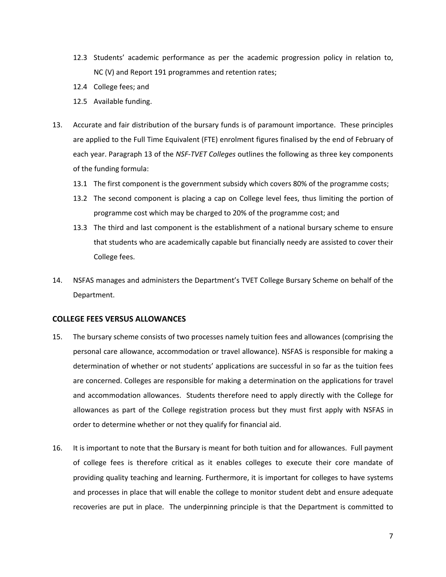- 12.3 Students' academic performance as per the academic progression policy in relation to, NC (V) and Report 191 programmes and retention rates;
- 12.4 College fees; and
- 12.5 Available funding.
- 13. Accurate and fair distribution of the bursary funds is of paramount importance. These principles are applied to the Full Time Equivalent (FTE) enrolment figures finalised by the end of February of each year. Paragraph 13 of the *NSF-TVET Colleges* outlines the following as three key components of the funding formula:
	- 13.1 The first component is the government subsidy which covers 80% of the programme costs;
	- 13.2 The second component is placing a cap on College level fees, thus limiting the portion of programme cost which may be charged to 20% of the programme cost; and
	- 13.3 The third and last component is the establishment of a national bursary scheme to ensure that students who are academically capable but financially needy are assisted to cover their College fees.
- 14. NSFAS manages and administers the Department's TVET College Bursary Scheme on behalf of the Department.

#### <span id="page-6-0"></span>**COLLEGE FEES VERSUS ALLOWANCES**

- 15. The bursary scheme consists of two processes namely tuition fees and allowances (comprising the personal care allowance, accommodation or travel allowance). NSFAS is responsible for making a determination of whether or not students' applications are successful in so far as the tuition fees are concerned. Colleges are responsible for making a determination on the applications for travel and accommodation allowances. Students therefore need to apply directly with the College for allowances as part of the College registration process but they must first apply with NSFAS in order to determine whether or not they qualify for financial aid.
- 16. It is important to note that the Bursary is meant for both tuition and for allowances. Full payment of college fees is therefore critical as it enables colleges to execute their core mandate of providing quality teaching and learning. Furthermore, it is important for colleges to have systems and processes in place that will enable the college to monitor student debt and ensure adequate recoveries are put in place. The underpinning principle is that the Department is committed to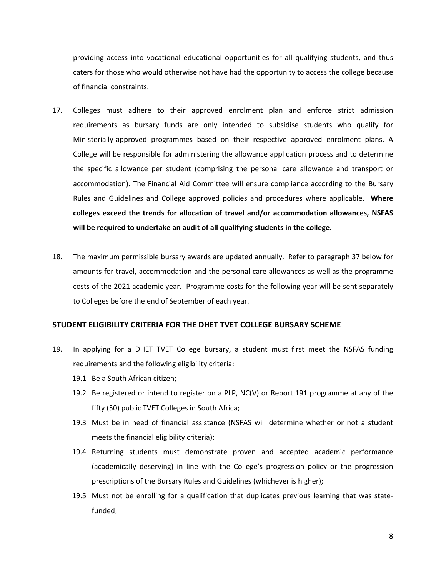providing access into vocational educational opportunities for all qualifying students, and thus caters for those who would otherwise not have had the opportunity to access the college because of financial constraints.

- 17. Colleges must adhere to their approved enrolment plan and enforce strict admission requirements as bursary funds are only intended to subsidise students who qualify for Ministerially-approved programmes based on their respective approved enrolment plans. A College will be responsible for administering the allowance application process and to determine the specific allowance per student (comprising the personal care allowance and transport or accommodation). The Financial Aid Committee will ensure compliance according to the Bursary Rules and Guidelines and College approved policies and procedures where applicable**. Where colleges exceed the trends for allocation of travel and/or accommodation allowances, NSFAS will be required to undertake an audit of all qualifying students in the college.**
- 18. The maximum permissible bursary awards are updated annually. Refer to paragraph 37 below for amounts for travel, accommodation and the personal care allowances as well as the programme costs of the 2021 academic year. Programme costs for the following year will be sent separately to Colleges before the end of September of each year.

#### <span id="page-7-0"></span>**STUDENT ELIGIBILITY CRITERIA FOR THE DHET TVET COLLEGE BURSARY SCHEME**

- 19. In applying for a DHET TVET College bursary, a student must first meet the NSFAS funding requirements and the following eligibility criteria:
	- 19.1 Be a South African citizen;
	- 19.2 Be registered or intend to register on a PLP, NC(V) or Report 191 programme at any of the fifty (50) public TVET Colleges in South Africa;
	- 19.3 Must be in need of financial assistance (NSFAS will determine whether or not a student meets the financial eligibility criteria);
	- 19.4 Returning students must demonstrate proven and accepted academic performance (academically deserving) in line with the College's progression policy or the progression prescriptions of the Bursary Rules and Guidelines (whichever is higher);
	- 19.5 Must not be enrolling for a qualification that duplicates previous learning that was statefunded;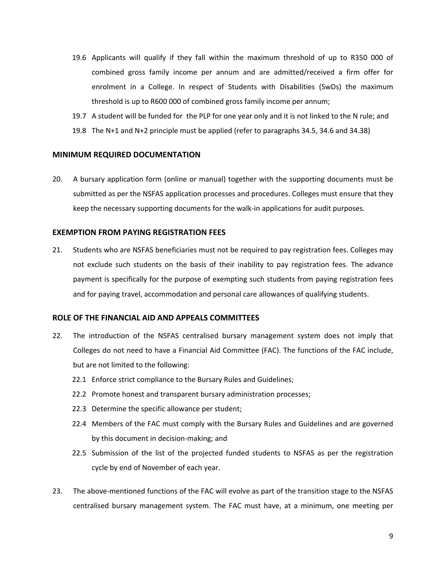- 19.6 Applicants will qualify if they fall within the maximum threshold of up to R350 000 of combined gross family income per annum and are admitted/received a firm offer for enrolment in a College. In respect of Students with Disabilities (SwDs) the maximum threshold is up to R600 000 of combined gross family income per annum;
- 19.7 A student will be funded for the PLP for one year only and it is not linked to the N rule; and 19.8 The N+1 and N+2 principle must be applied (refer to paragraphs 34.5, 34.6 and 34.38)

## <span id="page-8-0"></span>**MINIMUM REQUIRED DOCUMENTATION**

20. A bursary application form (online or manual) together with the supporting documents must be submitted as per the NSFAS application processes and procedures. Colleges must ensure that they keep the necessary supporting documents for the walk-in applications for audit purposes.

## <span id="page-8-1"></span>**EXEMPTION FROM PAYING REGISTRATION FEES**

21. Students who are NSFAS beneficiaries must not be required to pay registration fees. Colleges may not exclude such students on the basis of their inability to pay registration fees. The advance payment is specifically for the purpose of exempting such students from paying registration fees and for paying travel, accommodation and personal care allowances of qualifying students.

## <span id="page-8-2"></span>**ROLE OF THE FINANCIAL AID AND APPEALS COMMITTEES**

- 22. The introduction of the NSFAS centralised bursary management system does not imply that Colleges do not need to have a Financial Aid Committee (FAC). The functions of the FAC include, but are not limited to the following:
	- 22.1 Enforce strict compliance to the Bursary Rules and Guidelines;
	- 22.2 Promote honest and transparent bursary administration processes;
	- 22.3 Determine the specific allowance per student;
	- 22.4 Members of the FAC must comply with the Bursary Rules and Guidelines and are governed by this document in decision-making; and
	- 22.5 Submission of the list of the projected funded students to NSFAS as per the registration cycle by end of November of each year.
- 23. The above-mentioned functions of the FAC will evolve as part of the transition stage to the NSFAS centralised bursary management system. The FAC must have, at a minimum, one meeting per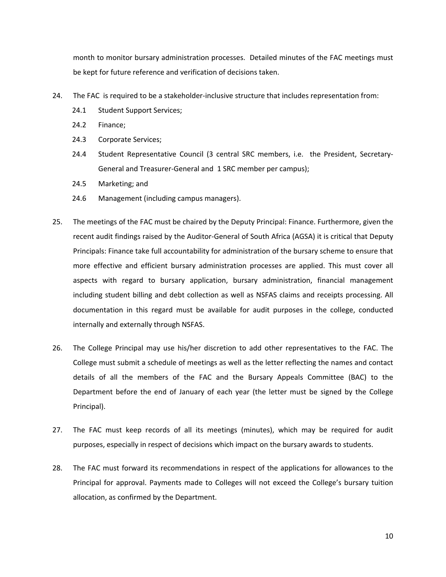month to monitor bursary administration processes. Detailed minutes of the FAC meetings must be kept for future reference and verification of decisions taken.

- 24. The FAC is required to be a stakeholder-inclusive structure that includes representation from:
	- 24.1 Student Support Services;
	- 24.2 Finance;
	- 24.3 Corporate Services;
	- 24.4 Student Representative Council (3 central SRC members, i.e. the President, Secretary-General and Treasurer-General and 1 SRC member per campus);
	- 24.5 Marketing; and
	- 24.6 Management (including campus managers).
- 25. The meetings of the FAC must be chaired by the Deputy Principal: Finance. Furthermore, given the recent audit findings raised by the Auditor-General of South Africa (AGSA) it is critical that Deputy Principals: Finance take full accountability for administration of the bursary scheme to ensure that more effective and efficient bursary administration processes are applied. This must cover all aspects with regard to bursary application, bursary administration, financial management including student billing and debt collection as well as NSFAS claims and receipts processing. All documentation in this regard must be available for audit purposes in the college, conducted internally and externally through NSFAS.
- 26. The College Principal may use his/her discretion to add other representatives to the FAC. The College must submit a schedule of meetings as well as the letter reflecting the names and contact details of all the members of the FAC and the Bursary Appeals Committee (BAC) to the Department before the end of January of each year (the letter must be signed by the College Principal).
- 27. The FAC must keep records of all its meetings (minutes), which may be required for audit purposes, especially in respect of decisions which impact on the bursary awards to students.
- 28. The FAC must forward its recommendations in respect of the applications for allowances to the Principal for approval. Payments made to Colleges will not exceed the College's bursary tuition allocation, as confirmed by the Department.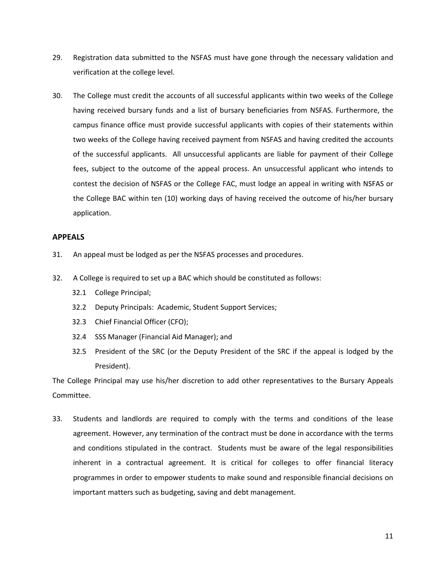- 29. Registration data submitted to the NSFAS must have gone through the necessary validation and verification at the college level.
- 30. The College must credit the accounts of all successful applicants within two weeks of the College having received bursary funds and a list of bursary beneficiaries from NSFAS. Furthermore, the campus finance office must provide successful applicants with copies of their statements within two weeks of the College having received payment from NSFAS and having credited the accounts of the successful applicants. All unsuccessful applicants are liable for payment of their College fees, subject to the outcome of the appeal process. An unsuccessful applicant who intends to contest the decision of NSFAS or the College FAC, must lodge an appeal in writing with NSFAS or the College BAC within ten (10) working days of having received the outcome of his/her bursary application.

#### <span id="page-10-0"></span>**APPEALS**

- 31. An appeal must be lodged as per the NSFAS processes and procedures.
- 32. A College is required to set up a BAC which should be constituted as follows:
	- 32.1 College Principal;
	- 32.2 Deputy Principals: Academic, Student Support Services;
	- 32.3 Chief Financial Officer (CFO);
	- 32.4 SSS Manager (Financial Aid Manager); and
	- 32.5 President of the SRC (or the Deputy President of the SRC if the appeal is lodged by the President).

The College Principal may use his/her discretion to add other representatives to the Bursary Appeals Committee.

33. Students and landlords are required to comply with the terms and conditions of the lease agreement. However, any termination of the contract must be done in accordance with the terms and conditions stipulated in the contract. Students must be aware of the legal responsibilities inherent in a contractual agreement. It is critical for colleges to offer financial literacy programmes in order to empower students to make sound and responsible financial decisions on important matters such as budgeting, saving and debt management.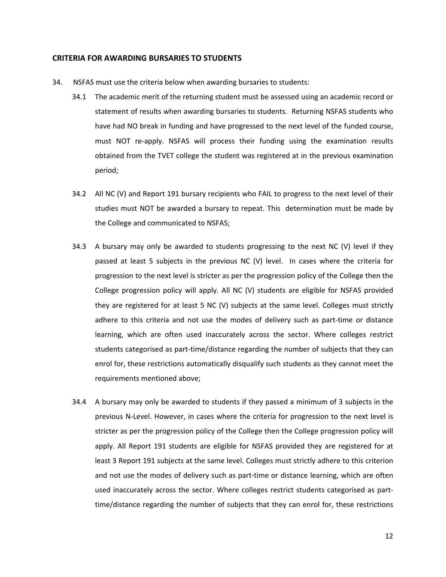#### <span id="page-11-0"></span>**CRITERIA FOR AWARDING BURSARIES TO STUDENTS**

- 34. NSFAS must use the criteria below when awarding bursaries to students:
	- 34.1 The academic merit of the returning student must be assessed using an academic record or statement of results when awarding bursaries to students. Returning NSFAS students who have had NO break in funding and have progressed to the next level of the funded course, must NOT re-apply. NSFAS will process their funding using the examination results obtained from the TVET college the student was registered at in the previous examination period;
	- 34.2 All NC (V) and Report 191 bursary recipients who FAIL to progress to the next level of their studies must NOT be awarded a bursary to repeat. This determination must be made by the College and communicated to NSFAS;
	- 34.3 A bursary may only be awarded to students progressing to the next NC (V) level if they passed at least 5 subjects in the previous NC (V) level. In cases where the criteria for progression to the next level is stricter as per the progression policy of the College then the College progression policy will apply. All NC (V) students are eligible for NSFAS provided they are registered for at least 5 NC (V) subjects at the same level. Colleges must strictly adhere to this criteria and not use the modes of delivery such as part-time or distance learning, which are often used inaccurately across the sector. Where colleges restrict students categorised as part-time/distance regarding the number of subjects that they can enrol for, these restrictions automatically disqualify such students as they cannot meet the requirements mentioned above;
	- 34.4 A bursary may only be awarded to students if they passed a minimum of 3 subjects in the previous N-Level. However, in cases where the criteria for progression to the next level is stricter as per the progression policy of the College then the College progression policy will apply. All Report 191 students are eligible for NSFAS provided they are registered for at least 3 Report 191 subjects at the same level. Colleges must strictly adhere to this criterion and not use the modes of delivery such as part-time or distance learning, which are often used inaccurately across the sector. Where colleges restrict students categorised as parttime/distance regarding the number of subjects that they can enrol for, these restrictions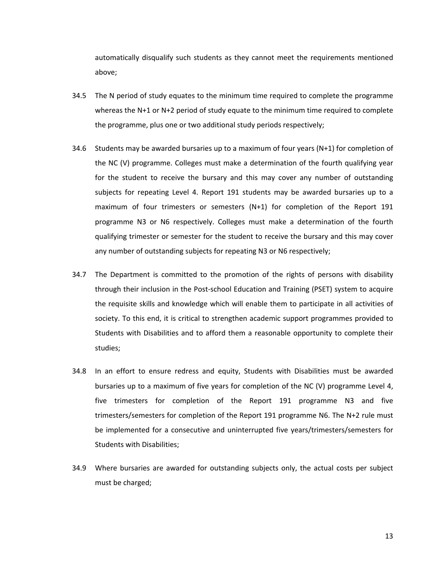automatically disqualify such students as they cannot meet the requirements mentioned above;

- 34.5 The N period of study equates to the minimum time required to complete the programme whereas the N+1 or N+2 period of study equate to the minimum time required to complete the programme, plus one or two additional study periods respectively;
- 34.6 Students may be awarded bursaries up to a maximum of four years (N+1) for completion of the NC (V) programme. Colleges must make a determination of the fourth qualifying year for the student to receive the bursary and this may cover any number of outstanding subjects for repeating Level 4. Report 191 students may be awarded bursaries up to a maximum of four trimesters or semesters (N+1) for completion of the Report 191 programme N3 or N6 respectively. Colleges must make a determination of the fourth qualifying trimester or semester for the student to receive the bursary and this may cover any number of outstanding subjects for repeating N3 or N6 respectively;
- 34.7 The Department is committed to the promotion of the rights of persons with disability through their inclusion in the Post-school Education and Training (PSET) system to acquire the requisite skills and knowledge which will enable them to participate in all activities of society. To this end, it is critical to strengthen academic support programmes provided to Students with Disabilities and to afford them a reasonable opportunity to complete their studies;
- 34.8 In an effort to ensure redress and equity, Students with Disabilities must be awarded bursaries up to a maximum of five years for completion of the NC (V) programme Level 4, five trimesters for completion of the Report 191 programme N3 and five trimesters/semesters for completion of the Report 191 programme N6. The N+2 rule must be implemented for a consecutive and uninterrupted five years/trimesters/semesters for Students with Disabilities;
- 34.9 Where bursaries are awarded for outstanding subjects only, the actual costs per subject must be charged;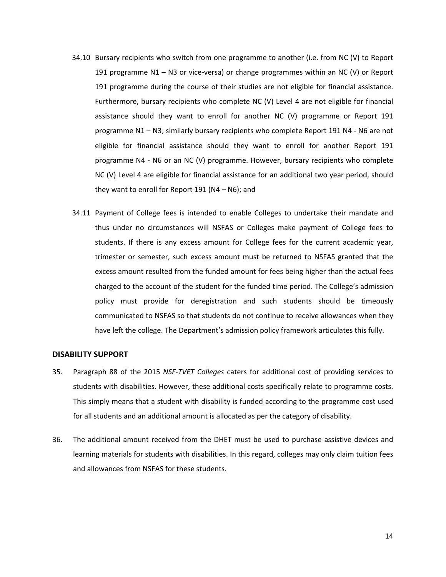- 34.10 Bursary recipients who switch from one programme to another (i.e. from NC (V) to Report 191 programme N1 – N3 or vice-versa) or change programmes within an NC (V) or Report 191 programme during the course of their studies are not eligible for financial assistance. Furthermore, bursary recipients who complete NC (V) Level 4 are not eligible for financial assistance should they want to enroll for another NC (V) programme or Report 191 programme N1 – N3; similarly bursary recipients who complete Report 191 N4 - N6 are not eligible for financial assistance should they want to enroll for another Report 191 programme N4 - N6 or an NC (V) programme. However, bursary recipients who complete NC (V) Level 4 are eligible for financial assistance for an additional two year period, should they want to enroll for Report 191 (N4 – N6); and
- 34.11 Payment of College fees is intended to enable Colleges to undertake their mandate and thus under no circumstances will NSFAS or Colleges make payment of College fees to students. If there is any excess amount for College fees for the current academic year, trimester or semester, such excess amount must be returned to NSFAS granted that the excess amount resulted from the funded amount for fees being higher than the actual fees charged to the account of the student for the funded time period. The College's admission policy must provide for deregistration and such students should be timeously communicated to NSFAS so that students do not continue to receive allowances when they have left the college. The Department's admission policy framework articulates this fully.

#### <span id="page-13-0"></span>**DISABILITY SUPPORT**

- 35. Paragraph 88 of the 2015 *NSF-TVET Colleges* caters for additional cost of providing services to students with disabilities. However, these additional costs specifically relate to programme costs. This simply means that a student with disability is funded according to the programme cost used for all students and an additional amount is allocated as per the category of disability.
- 36. The additional amount received from the DHET must be used to purchase assistive devices and learning materials for students with disabilities. In this regard, colleges may only claim tuition fees and allowances from NSFAS for these students.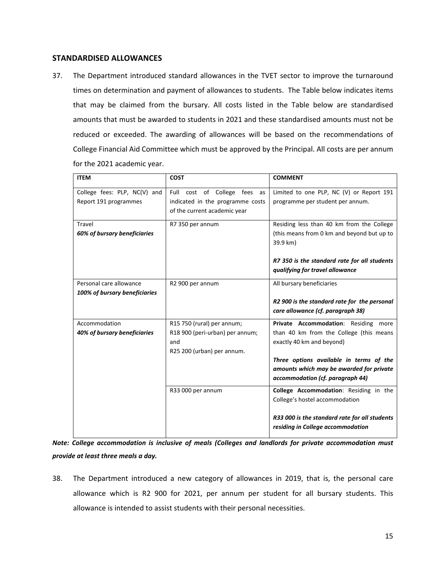## <span id="page-14-0"></span>**STANDARDISED ALLOWANCES**

37. The Department introduced standard allowances in the TVET sector to improve the turnaround times on determination and payment of allowances to students. The Table below indicates items that may be claimed from the bursary. All costs listed in the Table below are standardised amounts that must be awarded to students in 2021 and these standardised amounts must not be reduced or exceeded. The awarding of allowances will be based on the recommendations of College Financial Aid Committee which must be approved by the Principal. All costs are per annum for the 2021 academic year.

| <b>ITEM</b>                                              | <b>COST</b>                                                                                        | <b>COMMENT</b>                                                                                                                                                                                                                          |
|----------------------------------------------------------|----------------------------------------------------------------------------------------------------|-----------------------------------------------------------------------------------------------------------------------------------------------------------------------------------------------------------------------------------------|
| College fees: PLP, NC(V) and<br>Report 191 programmes    | Full cost of College fees as<br>indicated in the programme costs<br>of the current academic year   | Limited to one PLP, NC (V) or Report 191<br>programme per student per annum.                                                                                                                                                            |
| Travel<br>60% of bursary beneficiaries                   | R7 350 per annum                                                                                   | Residing less than 40 km from the College<br>(this means from 0 km and beyond but up to<br>39.9 km)<br>R7 350 is the standard rate for all students<br>qualifying for travel allowance                                                  |
| Personal care allowance<br>100% of bursary beneficiaries | R2 900 per annum                                                                                   | All bursary beneficiaries<br>R2 900 is the standard rate for the personal<br>care allowance (cf. paragraph 38)                                                                                                                          |
| Accommodation<br>40% of bursary beneficiaries            | R15 750 (rural) per annum;<br>R18 900 (peri-urban) per annum;<br>and<br>R25 200 (urban) per annum. | Private Accommodation: Residing more<br>than 40 km from the College (this means<br>exactly 40 km and beyond)<br>Three options available in terms of the<br>amounts which may be awarded for private<br>accommodation (cf. paragraph 44) |
|                                                          | R33 000 per annum                                                                                  | College Accommodation: Residing in the<br>College's hostel accommodation<br>R33 000 is the standard rate for all students<br>residing in College accommodation                                                                          |

*Note: College accommodation is inclusive of meals (Colleges and landlords for private accommodation must provide at least three meals a day.* 

38. The Department introduced a new category of allowances in 2019, that is, the personal care allowance which is R2 900 for 2021, per annum per student for all bursary students. This allowance is intended to assist students with their personal necessities.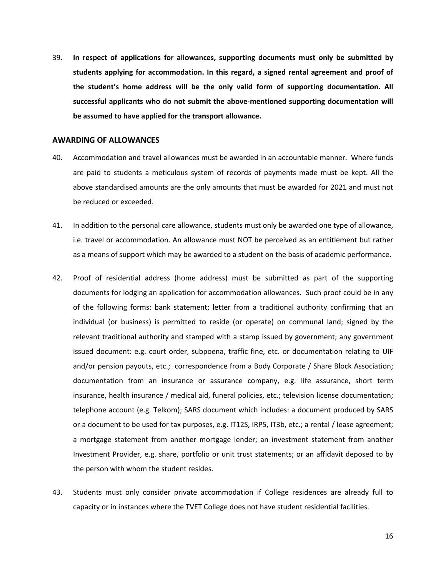39. **In respect of applications for allowances, supporting documents must only be submitted by students applying for accommodation. In this regard, a signed rental agreement and proof of the student's home address will be the only valid form of supporting documentation. All successful applicants who do not submit the above-mentioned supporting documentation will be assumed to have applied for the transport allowance.** 

#### <span id="page-15-0"></span>**AWARDING OF ALLOWANCES**

- 40. Accommodation and travel allowances must be awarded in an accountable manner. Where funds are paid to students a meticulous system of records of payments made must be kept. All the above standardised amounts are the only amounts that must be awarded for 2021 and must not be reduced or exceeded.
- 41. In addition to the personal care allowance, students must only be awarded one type of allowance, i.e. travel or accommodation. An allowance must NOT be perceived as an entitlement but rather as a means of support which may be awarded to a student on the basis of academic performance.
- 42. Proof of residential address (home address) must be submitted as part of the supporting documents for lodging an application for accommodation allowances. Such proof could be in any of the following forms: bank statement; letter from a traditional authority confirming that an individual (or business) is permitted to reside (or operate) on communal land; signed by the relevant traditional authority and stamped with a stamp issued by government; any government issued document: e.g. court order, subpoena, traffic fine, etc. or documentation relating to UIF and/or pension payouts, etc.; correspondence from a Body Corporate / Share Block Association; documentation from an insurance or assurance company, e.g. life assurance, short term insurance, health insurance / medical aid, funeral policies, etc.; television license documentation; telephone account (e.g. Telkom); SARS document which includes: a document produced by SARS or a document to be used for tax purposes, e.g. IT12S, IRP5, IT3b, etc.; a rental / lease agreement; a mortgage statement from another mortgage lender; an investment statement from another Investment Provider, e.g. share, portfolio or unit trust statements; or an affidavit deposed to by the person with whom the student resides.
- 43. Students must only consider private accommodation if College residences are already full to capacity or in instances where the TVET College does not have student residential facilities.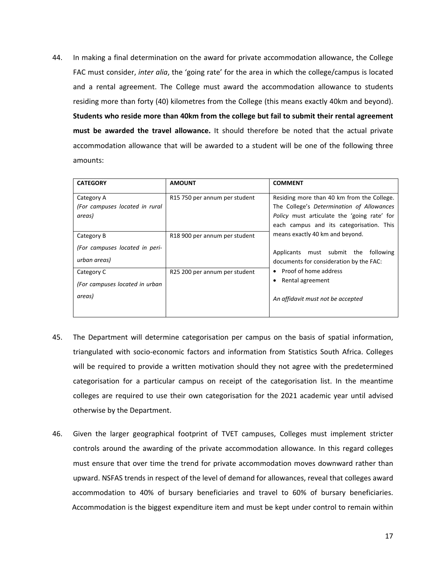44. In making a final determination on the award for private accommodation allowance, the College FAC must consider, *inter alia*, the 'going rate' for the area in which the college/campus is located and a rental agreement. The College must award the accommodation allowance to students residing more than forty (40) kilometres from the College (this means exactly 40km and beyond). **Students who reside more than 40km from the college but fail to submit their rental agreement must be awarded the travel allowance.** It should therefore be noted that the actual private accommodation allowance that will be awarded to a student will be one of the following three amounts:

| <b>CATEGORY</b>                                              | <b>AMOUNT</b>                             | <b>COMMENT</b>                                                                                                                                                                     |
|--------------------------------------------------------------|-------------------------------------------|------------------------------------------------------------------------------------------------------------------------------------------------------------------------------------|
| Category A<br>(For campuses located in rural<br>areas)       | R <sub>15</sub> 750 per annum per student | Residing more than 40 km from the College.<br>The College's Determination of Allowances<br>Policy must articulate the 'going rate' for<br>each campus and its categorisation. This |
| Category B<br>(For campuses located in peri-<br>urban areas) | R <sub>18</sub> 900 per annum per student | means exactly 40 km and beyond.<br>Applicants must submit the following<br>documents for consideration by the FAC:                                                                 |
| Category C<br>(For campuses located in urban<br>areas)       | R25 200 per annum per student             | Proof of home address<br>Rental agreement<br>An affidavit must not be accepted                                                                                                     |

- 45. The Department will determine categorisation per campus on the basis of spatial information, triangulated with socio-economic factors and information from Statistics South Africa. Colleges will be required to provide a written motivation should they not agree with the predetermined categorisation for a particular campus on receipt of the categorisation list. In the meantime colleges are required to use their own categorisation for the 2021 academic year until advised otherwise by the Department.
- 46. Given the larger geographical footprint of TVET campuses, Colleges must implement stricter controls around the awarding of the private accommodation allowance. In this regard colleges must ensure that over time the trend for private accommodation moves downward rather than upward. NSFAS trends in respect of the level of demand for allowances, reveal that colleges award accommodation to 40% of bursary beneficiaries and travel to 60% of bursary beneficiaries. Accommodation is the biggest expenditure item and must be kept under control to remain within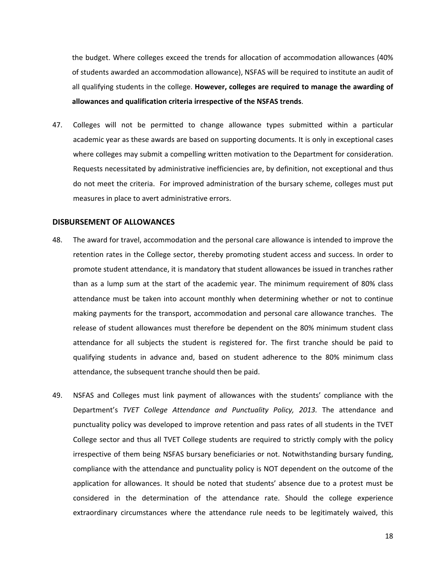the budget. Where colleges exceed the trends for allocation of accommodation allowances (40% of students awarded an accommodation allowance), NSFAS will be required to institute an audit of all qualifying students in the college. **However, colleges are required to manage the awarding of allowances and qualification criteria irrespective of the NSFAS trends**.

47. Colleges will not be permitted to change allowance types submitted within a particular academic year as these awards are based on supporting documents. It is only in exceptional cases where colleges may submit a compelling written motivation to the Department for consideration. Requests necessitated by administrative inefficiencies are, by definition, not exceptional and thus do not meet the criteria. For improved administration of the bursary scheme, colleges must put measures in place to avert administrative errors.

#### <span id="page-17-0"></span>**DISBURSEMENT OF ALLOWANCES**

- 48. The award for travel, accommodation and the personal care allowance is intended to improve the retention rates in the College sector, thereby promoting student access and success. In order to promote student attendance, it is mandatory that student allowances be issued in tranches rather than as a lump sum at the start of the academic year. The minimum requirement of 80% class attendance must be taken into account monthly when determining whether or not to continue making payments for the transport, accommodation and personal care allowance tranches. The release of student allowances must therefore be dependent on the 80% minimum student class attendance for all subjects the student is registered for. The first tranche should be paid to qualifying students in advance and, based on student adherence to the 80% minimum class attendance, the subsequent tranche should then be paid.
- 49. NSFAS and Colleges must link payment of allowances with the students' compliance with the Department's *TVET College Attendance and Punctuality Policy, 2013.* The attendance and punctuality policy was developed to improve retention and pass rates of all students in the TVET College sector and thus all TVET College students are required to strictly comply with the policy irrespective of them being NSFAS bursary beneficiaries or not. Notwithstanding bursary funding, compliance with the attendance and punctuality policy is NOT dependent on the outcome of the application for allowances. It should be noted that students' absence due to a protest must be considered in the determination of the attendance rate. Should the college experience extraordinary circumstances where the attendance rule needs to be legitimately waived, this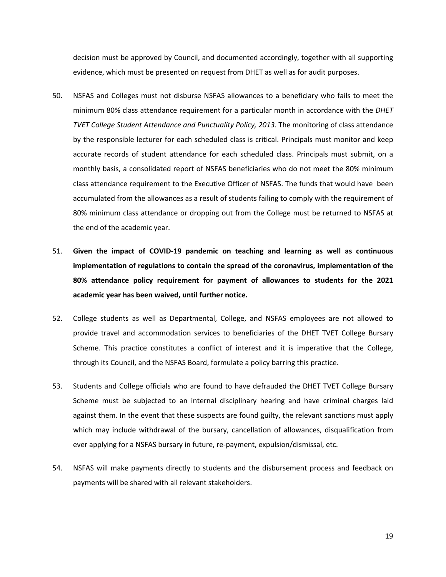decision must be approved by Council, and documented accordingly, together with all supporting evidence, which must be presented on request from DHET as well as for audit purposes.

- 50. NSFAS and Colleges must not disburse NSFAS allowances to a beneficiary who fails to meet the minimum 80% class attendance requirement for a particular month in accordance with the *DHET TVET College Student Attendance and Punctuality Policy, 2013*. The monitoring of class attendance by the responsible lecturer for each scheduled class is critical. Principals must monitor and keep accurate records of student attendance for each scheduled class. Principals must submit, on a monthly basis, a consolidated report of NSFAS beneficiaries who do not meet the 80% minimum class attendance requirement to the Executive Officer of NSFAS. The funds that would have been accumulated from the allowances as a result of students failing to comply with the requirement of 80% minimum class attendance or dropping out from the College must be returned to NSFAS at the end of the academic year.
- 51. **Given the impact of COVID-19 pandemic on teaching and learning as well as continuous implementation of regulations to contain the spread of the coronavirus, implementation of the 80% attendance policy requirement for payment of allowances to students for the 2021 academic year has been waived, until further notice.**
- 52. College students as well as Departmental, College, and NSFAS employees are not allowed to provide travel and accommodation services to beneficiaries of the DHET TVET College Bursary Scheme. This practice constitutes a conflict of interest and it is imperative that the College, through its Council, and the NSFAS Board, formulate a policy barring this practice.
- 53. Students and College officials who are found to have defrauded the DHET TVET College Bursary Scheme must be subjected to an internal disciplinary hearing and have criminal charges laid against them. In the event that these suspects are found guilty, the relevant sanctions must apply which may include withdrawal of the bursary, cancellation of allowances, disqualification from ever applying for a NSFAS bursary in future, re-payment, expulsion/dismissal, etc.
- 54. NSFAS will make payments directly to students and the disbursement process and feedback on payments will be shared with all relevant stakeholders.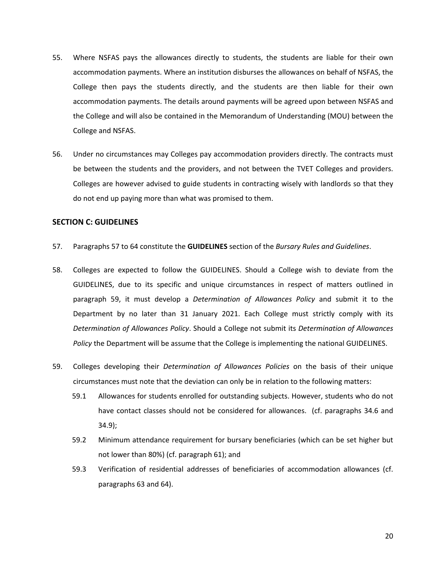- 55. Where NSFAS pays the allowances directly to students, the students are liable for their own accommodation payments. Where an institution disburses the allowances on behalf of NSFAS, the College then pays the students directly, and the students are then liable for their own accommodation payments. The details around payments will be agreed upon between NSFAS and the College and will also be contained in the Memorandum of Understanding (MOU) between the College and NSFAS.
- 56. Under no circumstances may Colleges pay accommodation providers directly. The contracts must be between the students and the providers, and not between the TVET Colleges and providers. Colleges are however advised to guide students in contracting wisely with landlords so that they do not end up paying more than what was promised to them.

#### <span id="page-19-0"></span>**SECTION C: GUIDELINES**

- 57. Paragraphs 57 to 64 constitute the **GUIDELINES** section of the *Bursary Rules and Guidelines*.
- 58. Colleges are expected to follow the GUIDELINES. Should a College wish to deviate from the GUIDELINES, due to its specific and unique circumstances in respect of matters outlined in paragraph 59, it must develop a *Determination of Allowances Policy* and submit it to the Department by no later than 31 January 2021. Each College must strictly comply with its *Determination of Allowances Policy*. Should a College not submit its *Determination of Allowances Policy* the Department will be assume that the College is implementing the national GUIDELINES.
- 59. Colleges developing their *Determination of Allowances Policies* on the basis of their unique circumstances must note that the deviation can only be in relation to the following matters:
	- 59.1 Allowances for students enrolled for outstanding subjects. However, students who do not have contact classes should not be considered for allowances. (cf. paragraphs 34.6 and 34.9);
	- 59.2 Minimum attendance requirement for bursary beneficiaries (which can be set higher but not lower than 80%) (cf. paragraph 61); and
	- 59.3 Verification of residential addresses of beneficiaries of accommodation allowances (cf. paragraphs 63 and 64).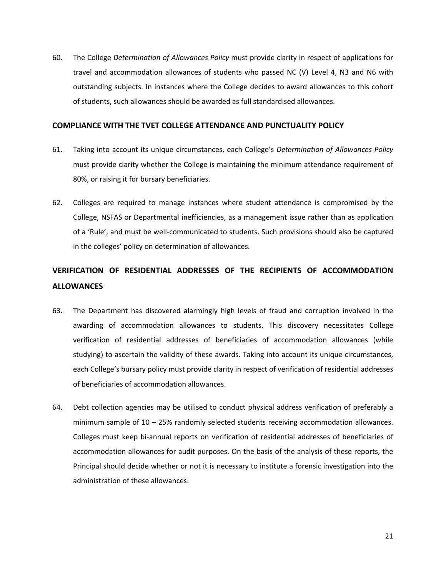60. The College *Determination of Allowances Policy* must provide clarity in respect of applications for travel and accommodation allowances of students who passed NC (V) Level 4, N3 and N6 with outstanding subjects. In instances where the College decides to award allowances to this cohort of students, such allowances should be awarded as full standardised allowances.

#### <span id="page-20-0"></span>**COMPLIANCE WITH THE TVET COLLEGE ATTENDANCE AND PUNCTUALITY POLICY**

- 61. Taking into account its unique circumstances, each College's *Determination of Allowances Policy* must provide clarity whether the College is maintaining the minimum attendance requirement of 80%, or raising it for bursary beneficiaries.
- 62. Colleges are required to manage instances where student attendance is compromised by the College, NSFAS or Departmental inefficiencies, as a management issue rather than as application of a 'Rule', and must be well-communicated to students. Such provisions should also be captured in the colleges' policy on determination of allowances.

## <span id="page-20-1"></span>**VERIFICATION OF RESIDENTIAL ADDRESSES OF THE RECIPIENTS OF ACCOMMODATION ALLOWANCES**

- 63. The Department has discovered alarmingly high levels of fraud and corruption involved in the awarding of accommodation allowances to students. This discovery necessitates College verification of residential addresses of beneficiaries of accommodation allowances (while studying) to ascertain the validity of these awards. Taking into account its unique circumstances, each College's bursary policy must provide clarity in respect of verification of residential addresses of beneficiaries of accommodation allowances.
- 64. Debt collection agencies may be utilised to conduct physical address verification of preferably a minimum sample of 10 – 25% randomly selected students receiving accommodation allowances. Colleges must keep bi-annual reports on verification of residential addresses of beneficiaries of accommodation allowances for audit purposes. On the basis of the analysis of these reports, the Principal should decide whether or not it is necessary to institute a forensic investigation into the administration of these allowances.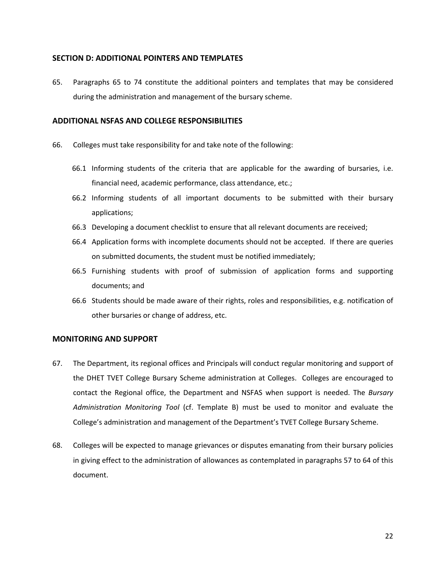## <span id="page-21-0"></span>**SECTION D: ADDITIONAL POINTERS AND TEMPLATES**

65. Paragraphs 65 to 74 constitute the additional pointers and templates that may be considered during the administration and management of the bursary scheme.

## <span id="page-21-1"></span>**ADDITIONAL NSFAS AND COLLEGE RESPONSIBILITIES**

- 66. Colleges must take responsibility for and take note of the following:
	- 66.1 Informing students of the criteria that are applicable for the awarding of bursaries, i.e. financial need, academic performance, class attendance, etc.;
	- 66.2 Informing students of all important documents to be submitted with their bursary applications;
	- 66.3 Developing a document checklist to ensure that all relevant documents are received;
	- 66.4 Application forms with incomplete documents should not be accepted. If there are queries on submitted documents, the student must be notified immediately;
	- 66.5 Furnishing students with proof of submission of application forms and supporting documents; and
	- 66.6 Students should be made aware of their rights, roles and responsibilities, e.g. notification of other bursaries or change of address, etc.

## <span id="page-21-2"></span>**MONITORING AND SUPPORT**

- 67. The Department, its regional offices and Principals will conduct regular monitoring and support of the DHET TVET College Bursary Scheme administration at Colleges. Colleges are encouraged to contact the Regional office, the Department and NSFAS when support is needed. The *Bursary Administration Monitoring Tool* (cf. Template B) must be used to monitor and evaluate the College's administration and management of the Department's TVET College Bursary Scheme.
- 68. Colleges will be expected to manage grievances or disputes emanating from their bursary policies in giving effect to the administration of allowances as contemplated in paragraphs 57 to 64 of this document.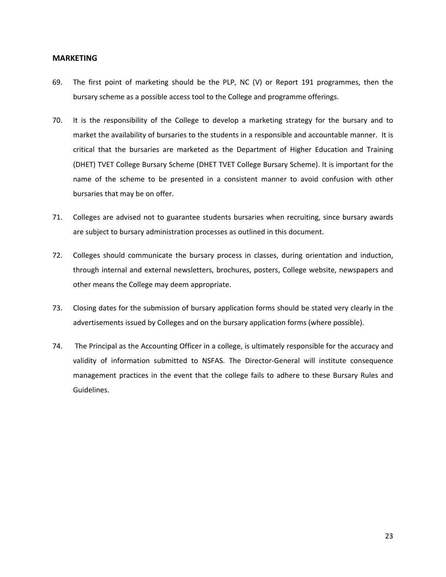#### <span id="page-22-0"></span>**MARKETING**

- 69. The first point of marketing should be the PLP, NC (V) or Report 191 programmes, then the bursary scheme as a possible access tool to the College and programme offerings.
- 70. It is the responsibility of the College to develop a marketing strategy for the bursary and to market the availability of bursaries to the students in a responsible and accountable manner. It is critical that the bursaries are marketed as the Department of Higher Education and Training (DHET) TVET College Bursary Scheme (DHET TVET College Bursary Scheme). It is important for the name of the scheme to be presented in a consistent manner to avoid confusion with other bursaries that may be on offer.
- 71. Colleges are advised not to guarantee students bursaries when recruiting, since bursary awards are subject to bursary administration processes as outlined in this document.
- 72. Colleges should communicate the bursary process in classes, during orientation and induction, through internal and external newsletters, brochures, posters, College website, newspapers and other means the College may deem appropriate.
- 73. Closing dates for the submission of bursary application forms should be stated very clearly in the advertisements issued by Colleges and on the bursary application forms (where possible).
- 74. The Principal as the Accounting Officer in a college, is ultimately responsible for the accuracy and validity of information submitted to NSFAS. The Director-General will institute consequence management practices in the event that the college fails to adhere to these Bursary Rules and Guidelines.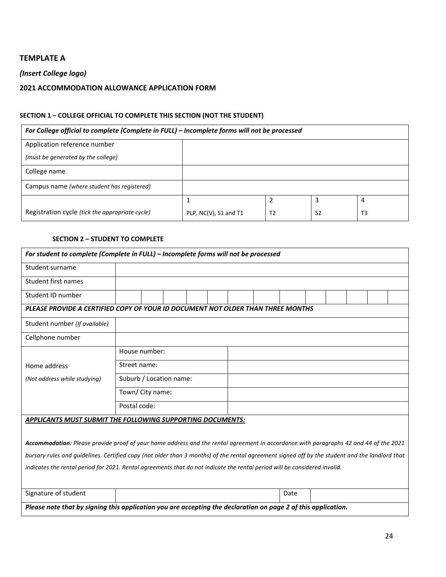## **TEMPLATE A**

## *(Insert College logo)*

## **2021 ACCOMMODATION ALLOWANCE APPLICATION FORM**

## **SECTION 1 – COLLEGE OFFICIAL TO COMPLETE THIS SECTION (NOT THE STUDENT)**

| For College official to complete (Complete in FULL) - Incomplete forms will not be processed |                       |                |                |                |  |  |
|----------------------------------------------------------------------------------------------|-----------------------|----------------|----------------|----------------|--|--|
| Application reference number                                                                 |                       |                |                |                |  |  |
| (must be generated by the college)                                                           |                       |                |                |                |  |  |
| College name                                                                                 |                       |                |                |                |  |  |
| Campus name (where student has registered)                                                   |                       |                |                |                |  |  |
|                                                                                              |                       | 2              | э              | 4              |  |  |
| Registration cycle (tick the appropriate cycle)                                              | PLP, NC(V), S1 and T1 | T <sub>2</sub> | S <sub>2</sub> | T <sub>3</sub> |  |  |

#### **SECTION 2 – STUDENT TO COMPLETE**

| For student to complete (Complete in FULL) - Incomplete forms will not be processed                                                            |                         |  |  |  |  |  |      |  |  |  |
|------------------------------------------------------------------------------------------------------------------------------------------------|-------------------------|--|--|--|--|--|------|--|--|--|
| Student surname                                                                                                                                |                         |  |  |  |  |  |      |  |  |  |
| Student first names                                                                                                                            |                         |  |  |  |  |  |      |  |  |  |
| Student ID number                                                                                                                              |                         |  |  |  |  |  |      |  |  |  |
| PLEASE PROVIDE A CERTIFIED COPY OF YOUR ID DOCUMENT NOT OLDER THAN THREE MONTHS                                                                |                         |  |  |  |  |  |      |  |  |  |
| Student number (If available)                                                                                                                  |                         |  |  |  |  |  |      |  |  |  |
| Cellphone number                                                                                                                               |                         |  |  |  |  |  |      |  |  |  |
|                                                                                                                                                | House number:           |  |  |  |  |  |      |  |  |  |
| Home address                                                                                                                                   | Street name:            |  |  |  |  |  |      |  |  |  |
| (Not address while studying)                                                                                                                   | Suburb / Location name: |  |  |  |  |  |      |  |  |  |
|                                                                                                                                                | Town/ City name:        |  |  |  |  |  |      |  |  |  |
|                                                                                                                                                | Postal code:            |  |  |  |  |  |      |  |  |  |
| APPLICANTS MUST SUBMIT THE FOLLOWING SUPPORTING DOCUMENTS:                                                                                     |                         |  |  |  |  |  |      |  |  |  |
| Accommodation: Please provide proof of your home address and the rental agreement in accordance with paragraphs 42 and 44 of the 2021          |                         |  |  |  |  |  |      |  |  |  |
| bursary rules and guidelines. Certified copy (not older than 3 months) of the rental agreement signed off by the student and the landlord that |                         |  |  |  |  |  |      |  |  |  |
| indicates the rental period for 2021. Rental agreements that do not indicate the rental period will be considered invalid.                     |                         |  |  |  |  |  |      |  |  |  |
|                                                                                                                                                |                         |  |  |  |  |  |      |  |  |  |
| Signature of student                                                                                                                           |                         |  |  |  |  |  | Date |  |  |  |
| Please note that by signing this application you are accepting the declaration on page 2 of this application.                                  |                         |  |  |  |  |  |      |  |  |  |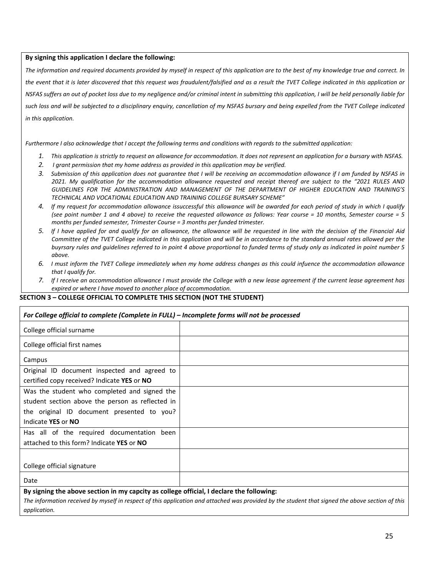#### **By signing this application I declare the following:**

*The information and required documents provided by myself in respect of this application are to the best of my knowledge true and correct. In the event that it is later discovered that this request was fraudulent/falsified and as a result the TVET College indicated in this application or NSFAS suffers an out of pocket loss due to my negligence and/or criminal intent in submitting this application, I will be held personally liable for*  such loss and will be subjected to a disciplinary enguiry, cancellation of my NSFAS bursary and being expelled from the TVET College indicated *in this application.*

*Furthermore I also acknowledge that I accept the following terms and conditions with regards to the submitted application:*

- *1. This application is strictly to request an allowance for accommodation. It does not represent an application for a bursary with NSFAS.*
- *2. I grant permission that my home address as provided in this application may be verified.*
- *3. Submission of this application does not guarantee that I will be receiving an accommodation allowance if I am funded by NSFAS in 2021. My qualification for the accommodation allowance requested and receipt thereof are subject to the "2021 RULES AND GUIDELINES FOR THE ADMINISTRATION AND MANAGEMENT OF THE DEPARTMENT OF HIGHER EDUCATION AND TRAINING'S TECHNICAL AND VOCATIONAL EDUCATION AND TRAINING COLLEGE BURSARY SCHEME"*
- *4. If my request for accommodation allowance issuccessful this allowance will be awarded for each period of study in which I qualify (see point number 1 and 4 above) to receive the requested allowance as follows: Year course = 10 months, Semester course = 5 months per funded semester, Trimester Course = 3 months per funded trimester.*
- *5. If I have applied for and qualify for an allowance, the allowance will be requested in line with the decision of the Financial Aid*  Committee of the TVET College indicated in this application and will be in accordance to the standard annual rates allowed per the *buyrsary rules and guidelines referred to in point 4 above proportional to funded terms of study only as indicated in point number 5 above.*
- *6. I must inform the TVET College immediately when my home address changes as this could infuence the accommodation allowance that I qualify for.*
- *7. If I receive an accommodation allowance I must provide the College with a new lease agreement if the current lease agreement has expired or where I have moved to another place of accommodation.*

#### **SECTION 3 – COLLEGE OFFICIAL TO COMPLETE THIS SECTION (NOT THE STUDENT)**

| For College official to complete (Complete in FULL) - Incomplete forms will not be processed |  |  |  |  |
|----------------------------------------------------------------------------------------------|--|--|--|--|
| College official surname                                                                     |  |  |  |  |
| College official first names                                                                 |  |  |  |  |
| Campus                                                                                       |  |  |  |  |
| Original ID document inspected and agreed to                                                 |  |  |  |  |
| certified copy received? Indicate YES or NO                                                  |  |  |  |  |
| Was the student who completed and signed the                                                 |  |  |  |  |
| student section above the person as reflected in                                             |  |  |  |  |
| the original ID document presented to you?                                                   |  |  |  |  |
| Indicate YES or NO                                                                           |  |  |  |  |
| Has all of the required documentation been                                                   |  |  |  |  |
| attached to this form? Indicate YES or NO                                                    |  |  |  |  |
|                                                                                              |  |  |  |  |
| College official signature                                                                   |  |  |  |  |
| Date                                                                                         |  |  |  |  |

**By signing the above section in my capcity as college official, I declare the following:**

*The information received by myself in respect of this application and attached was provided by the student that signed the above section of this application.*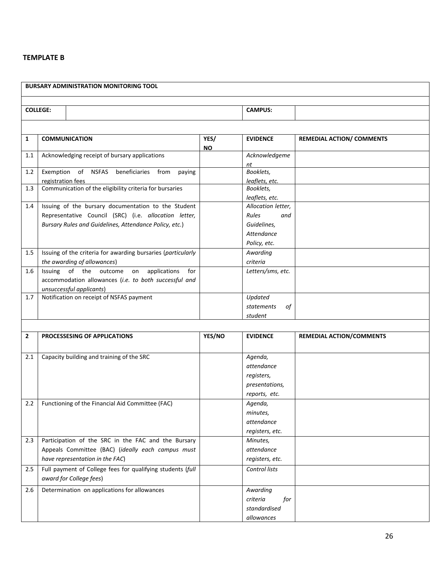## **TEMPLATE B**

|                 |                         | <b>BURSARY ADMINISTRATION MONITORING TOOL</b>                                                                                                                          |                   |                                                                                 |                                  |
|-----------------|-------------------------|------------------------------------------------------------------------------------------------------------------------------------------------------------------------|-------------------|---------------------------------------------------------------------------------|----------------------------------|
|                 |                         |                                                                                                                                                                        |                   |                                                                                 |                                  |
| <b>COLLEGE:</b> |                         |                                                                                                                                                                        |                   | <b>CAMPUS:</b>                                                                  |                                  |
|                 |                         |                                                                                                                                                                        |                   |                                                                                 |                                  |
| 1               | <b>COMMUNICATION</b>    |                                                                                                                                                                        | YES/<br><b>NO</b> | <b>EVIDENCE</b>                                                                 | <b>REMEDIAL ACTION/ COMMENTS</b> |
| $1.1\,$         |                         | Acknowledging receipt of bursary applications                                                                                                                          |                   | Acknowledgeme<br>nt                                                             |                                  |
| 1.2             | registration fees       | Exemption of NSFAS beneficiaries from<br>paying                                                                                                                        |                   | Booklets,<br>leaflets, etc.                                                     |                                  |
| 1.3             |                         | Communication of the eligibility criteria for bursaries                                                                                                                |                   | Booklets,<br>leaflets, etc.                                                     |                                  |
| 1.4             |                         | Issuing of the bursary documentation to the Student<br>Representative Council (SRC) (i.e. allocation letter,<br>Bursary Rules and Guidelines, Attendance Policy, etc.) |                   | Allocation letter,<br>Rules<br>and<br>Guidelines,<br>Attendance<br>Policy, etc. |                                  |
| 1.5             |                         | Issuing of the criteria for awarding bursaries (particularly<br>the awarding of allowances)                                                                            |                   | Awarding<br>criteria                                                            |                                  |
| 1.6             |                         | Issuing of the outcome<br>applications<br>for<br>on<br>accommodation allowances (i.e. to both successful and<br>unsuccessful applicants)                               |                   | Letters/sms, etc.                                                               |                                  |
| 1.7             |                         | Notification on receipt of NSFAS payment                                                                                                                               |                   | Updated<br>statements<br>of<br>student                                          |                                  |
|                 |                         |                                                                                                                                                                        |                   |                                                                                 |                                  |
| $\mathbf{2}$    |                         | PROCESSESING OF APPLICATIONS                                                                                                                                           | YES/NO            | <b>EVIDENCE</b>                                                                 | <b>REMEDIAL ACTION/COMMENTS</b>  |
| 2.1             |                         | Capacity building and training of the SRC                                                                                                                              |                   | Agenda,<br>attendance<br>registers,<br>presentations,<br>reports, etc.          |                                  |
| $2.2^{\circ}$   |                         | Functioning of the Financial Aid Committee (FAC)                                                                                                                       |                   | Agenda,<br>minutes,<br>attendance<br>registers, etc.                            |                                  |
| 2.3             |                         | Participation of the SRC in the FAC and the Bursary<br>Appeals Committee (BAC) (ideally each campus must<br>have representation in the FAC)                            |                   | Minutes,<br>attendance<br>registers, etc.                                       |                                  |
| 2.5             | award for College fees) | Full payment of College fees for qualifying students (full                                                                                                             |                   | Control lists                                                                   |                                  |
| 2.6             |                         | Determination on applications for allowances                                                                                                                           |                   | Awarding<br>criteria<br>for<br>standardised<br>allowances                       |                                  |